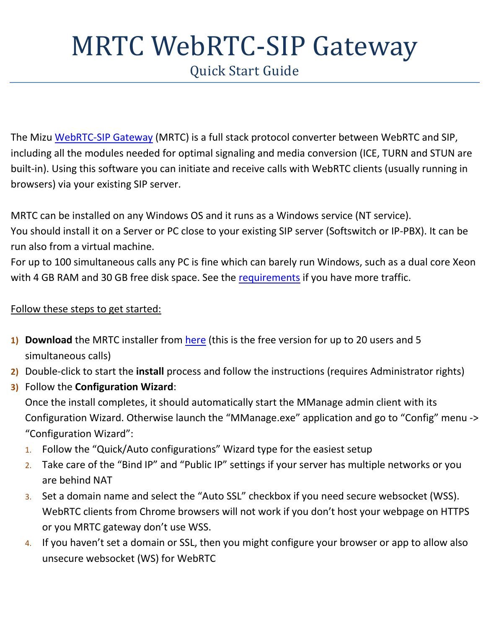# MRTC WebRTC-SIP Gateway

Quick Start Guide

The Mizu [WebRTC-SIP](https://www.mizu-voip.com/Software/WebRTCtoSIP.aspx) Gateway (MRTC) is a full stack protocol converter between WebRTC and SIP, including all the modules needed for optimal signaling and media conversion (ICE, TURN and STUN are built-in). Using this software you can initiate and receive calls with WebRTC clients (usually running in browsers) via your existing SIP server.

MRTC can be installed on any Windows OS and it runs as a Windows service (NT service).

You should install it on a Server or PC close to your existing SIP server (Softswitch or IP-PBX). It can be run also from a virtual machine.

For up to 100 simultaneous calls any PC is fine which can barely run Windows, such as a dual core Xeon with 4 GB RAM and 30 GB free disk space. See the [requirements](https://www.mizu-voip.com/Software/WebRTCtoSIP/Prerequisites_for_WebRTC_SIP_gateway.aspx) if you have more traffic.

### Follow these steps to get started:

- **1) Download** the MRTC installer from [here](https://www.mizu-voip.com/G/download/MRTC_Setup.exe) (this is the free version for up to 20 users and 5 simultaneous calls)
- **2)** Double-click to start the **install** process and follow the instructions (requires Administrator rights)
- **3)** Follow the **Configuration Wizard**:

Once the install completes, it should automatically start the MManage admin client with its Configuration Wizard. Otherwise launch the "MManage.exe" application and go to "Config" menu -> "Configuration Wizard":

- 1. Follow the "Quick/Auto configurations" Wizard type for the easiest setup
- 2. Take care of the "Bind IP" and "Public IP" settings if your server has multiple networks or you are behind NAT
- 3. Set a domain name and select the "Auto SSL" checkbox if you need secure websocket (WSS). WebRTC clients from Chrome browsers will not work if you don't host your webpage on HTTPS or you MRTC gateway don't use WSS.
- 4. If you haven't set a domain or SSL, then you might configure your browser or app to allow also unsecure websocket (WS) for WebRTC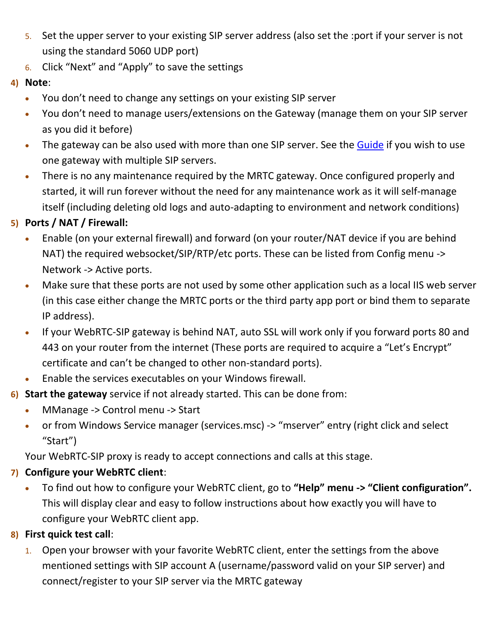- 5. Set the upper server to your existing SIP server address (also set the :port if your server is not using the standard 5060 UDP port)
- 6. Click "Next" and "Apply" to save the settings
- **4) Note**:
	- You don't need to change any settings on your existing SIP server
	- You don't need to manage users/extensions on the Gateway (manage them on your SIP server as you did it before)
	- The gateway can be also used with more than one SIP server. See the [Guide](https://www.mizu-voip.com/Portals/0/Files/WebRTC_SIP_Gateway_Doc.pdf) if you wish to use one gateway with multiple SIP servers.
	- There is no any maintenance required by the MRTC gateway. Once configured properly and started, it will run forever without the need for any maintenance work as it will self-manage itself (including deleting old logs and auto-adapting to environment and network conditions)

## **5) Ports / NAT / Firewall:**

- Enable (on your external firewall) and forward (on your router/NAT device if you are behind NAT) the required websocket/SIP/RTP/etc ports. These can be listed from Config menu -> Network -> Active ports.
- Make sure that these ports are not used by some other application such as a local IIS web server (in this case either change the MRTC ports or the third party app port or bind them to separate IP address).
- If your WebRTC-SIP gateway is behind NAT, auto SSL will work only if you forward ports 80 and 443 on your router from the internet (These ports are required to acquire a "Let's Encrypt" certificate and can't be changed to other non-standard ports).
- Enable the services executables on your Windows firewall.
- **6) Start the gateway** service if not already started. This can be done from:
	- MManage -> Control menu -> Start
	- or from Windows Service manager (services.msc) -> "mserver" entry (right click and select "Start")

Your WebRTC-SIP proxy is ready to accept connections and calls at this stage.

## **7) Configure your WebRTC client**:

 To find out how to configure your WebRTC client, go to **"Help" menu -> "Client configuration".** This will display clear and easy to follow instructions about how exactly you will have to configure your WebRTC client app.

## **8) First quick test call**:

1. Open your browser with your favorite WebRTC client, enter the settings from the above mentioned settings with SIP account A (username/password valid on your SIP server) and connect/register to your SIP server via the MRTC gateway